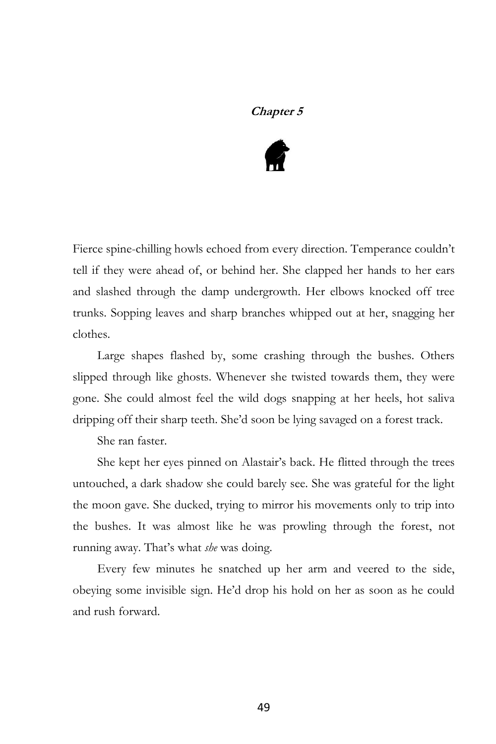## **Chapter 5**



Fierce spine-chilling howls echoed from every direction. Temperance couldn't tell if they were ahead of, or behind her. She clapped her hands to her ears and slashed through the damp undergrowth. Her elbows knocked off tree trunks. Sopping leaves and sharp branches whipped out at her, snagging her clothes.

Large shapes flashed by, some crashing through the bushes. Others slipped through like ghosts. Whenever she twisted towards them, they were gone. She could almost feel the wild dogs snapping at her heels, hot saliva dripping off their sharp teeth. She'd soon be lying savaged on a forest track.

She ran faster.

She kept her eyes pinned on Alastair's back. He flitted through the trees untouched, a dark shadow she could barely see. She was grateful for the light the moon gave. She ducked, trying to mirror his movements only to trip into the bushes. It was almost like he was prowling through the forest, not running away. That's what *she* was doing.

Every few minutes he snatched up her arm and veered to the side, obeying some invisible sign. He'd drop his hold on her as soon as he could and rush forward.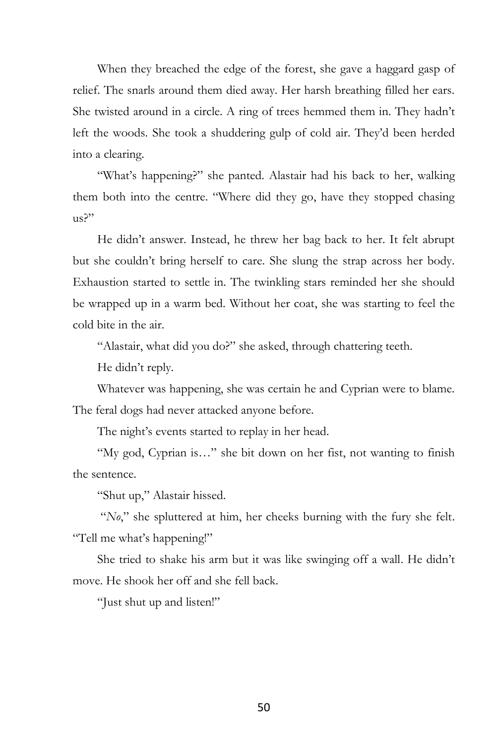When they breached the edge of the forest, she gave a haggard gasp of relief. The snarls around them died away. Her harsh breathing filled her ears. She twisted around in a circle. A ring of trees hemmed them in. They hadn't left the woods. She took a shuddering gulp of cold air. They'd been herded into a clearing.

"What's happening?" she panted. Alastair had his back to her, walking them both into the centre. "Where did they go, have they stopped chasing us?"

He didn't answer. Instead, he threw her bag back to her. It felt abrupt but she couldn't bring herself to care. She slung the strap across her body. Exhaustion started to settle in. The twinkling stars reminded her she should be wrapped up in a warm bed. Without her coat, she was starting to feel the cold bite in the air.

"Alastair, what did you do?" she asked, through chattering teeth.

He didn't reply.

Whatever was happening, she was certain he and Cyprian were to blame. The feral dogs had never attacked anyone before.

The night's events started to replay in her head.

"My god, Cyprian is…" she bit down on her fist, not wanting to finish the sentence.

"Shut up," Alastair hissed.

"*No*," she spluttered at him, her cheeks burning with the fury she felt. "Tell me what's happening!"

She tried to shake his arm but it was like swinging off a wall. He didn't move. He shook her off and she fell back.

"Just shut up and listen!"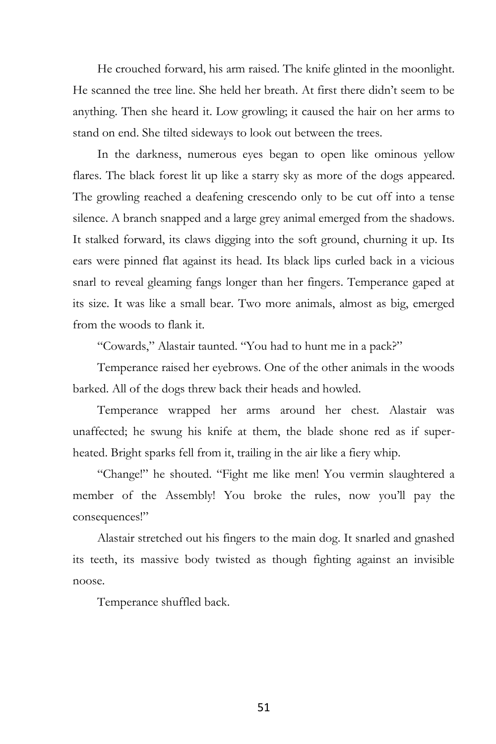He crouched forward, his arm raised. The knife glinted in the moonlight. He scanned the tree line. She held her breath. At first there didn't seem to be anything. Then she heard it. Low growling; it caused the hair on her arms to stand on end. She tilted sideways to look out between the trees.

In the darkness, numerous eyes began to open like ominous yellow flares. The black forest lit up like a starry sky as more of the dogs appeared. The growling reached a deafening crescendo only to be cut off into a tense silence. A branch snapped and a large grey animal emerged from the shadows. It stalked forward, its claws digging into the soft ground, churning it up. Its ears were pinned flat against its head. Its black lips curled back in a vicious snarl to reveal gleaming fangs longer than her fingers. Temperance gaped at its size. It was like a small bear. Two more animals, almost as big, emerged from the woods to flank it.

"Cowards," Alastair taunted. "You had to hunt me in a pack?"

Temperance raised her eyebrows. One of the other animals in the woods barked. All of the dogs threw back their heads and howled.

Temperance wrapped her arms around her chest. Alastair was unaffected; he swung his knife at them, the blade shone red as if superheated. Bright sparks fell from it, trailing in the air like a fiery whip.

"Change!" he shouted. "Fight me like men! You vermin slaughtered a member of the Assembly! You broke the rules, now you'll pay the consequences!"

Alastair stretched out his fingers to the main dog. It snarled and gnashed its teeth, its massive body twisted as though fighting against an invisible noose.

Temperance shuffled back.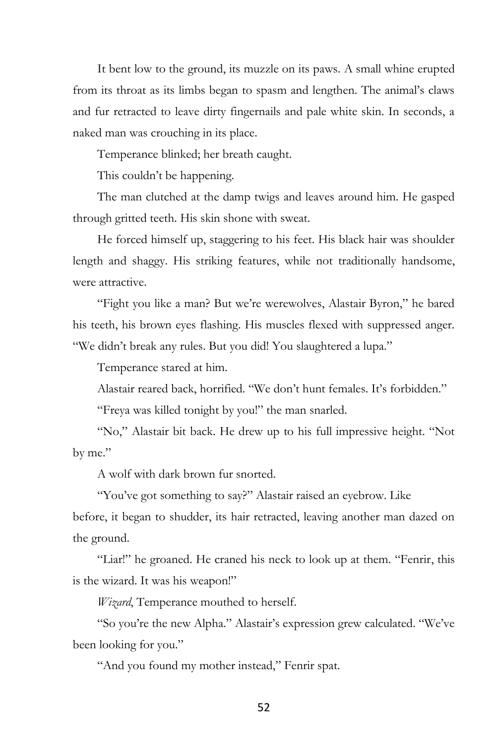It bent low to the ground, its muzzle on its paws. A small whine erupted from its throat as its limbs began to spasm and lengthen. The animal's claws and fur retracted to leave dirty fingernails and pale white skin. In seconds, a naked man was crouching in its place.

Temperance blinked; her breath caught.

This couldn't be happening.

The man clutched at the damp twigs and leaves around him. He gasped through gritted teeth. His skin shone with sweat.

He forced himself up, staggering to his feet. His black hair was shoulder length and shaggy. His striking features, while not traditionally handsome, were attractive.

"Fight you like a man? But we're werewolves, Alastair Byron," he bared his teeth, his brown eyes flashing. His muscles flexed with suppressed anger. "We didn't break any rules. But you did! You slaughtered a lupa."

Temperance stared at him.

Alastair reared back, horrified. "We don't hunt females. It's forbidden."

"Freya was killed tonight by you!" the man snarled.

"No," Alastair bit back. He drew up to his full impressive height. "Not by me."

A wolf with dark brown fur snorted.

"You've got something to say?" Alastair raised an eyebrow. Like before, it began to shudder, its hair retracted, leaving another man dazed on the ground.

"Liar!" he groaned. He craned his neck to look up at them. "Fenrir, this is the wizard. It was his weapon!"

*Wizard*, Temperance mouthed to herself.

"So you're the new Alpha." Alastair's expression grew calculated. "We've been looking for you."

"And you found my mother instead," Fenrir spat.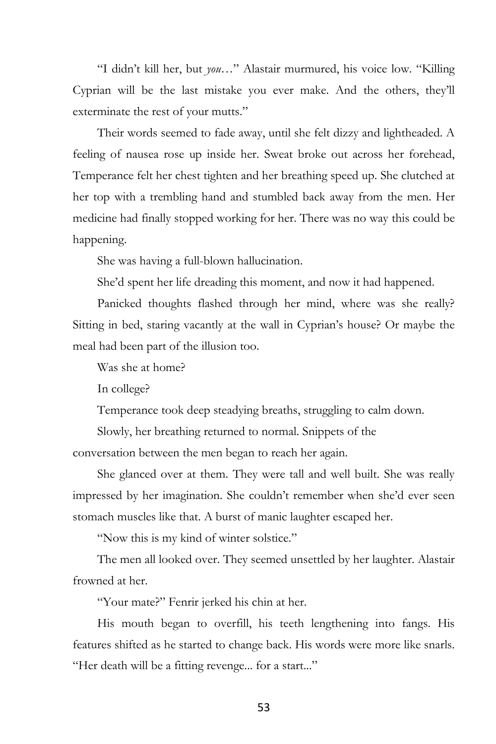"I didn't kill her, but *you*…" Alastair murmured, his voice low. "Killing Cyprian will be the last mistake you ever make. And the others, they'll exterminate the rest of your mutts."

Their words seemed to fade away, until she felt dizzy and lightheaded. A feeling of nausea rose up inside her. Sweat broke out across her forehead, Temperance felt her chest tighten and her breathing speed up. She clutched at her top with a trembling hand and stumbled back away from the men. Her medicine had finally stopped working for her. There was no way this could be happening.

She was having a full-blown hallucination.

She'd spent her life dreading this moment, and now it had happened.

Panicked thoughts flashed through her mind, where was she really? Sitting in bed, staring vacantly at the wall in Cyprian's house? Or maybe the meal had been part of the illusion too.

Was she at home?

In college?

Temperance took deep steadying breaths, struggling to calm down.

Slowly, her breathing returned to normal. Snippets of the

conversation between the men began to reach her again.

She glanced over at them. They were tall and well built. She was really impressed by her imagination. She couldn't remember when she'd ever seen stomach muscles like that. A burst of manic laughter escaped her.

"Now this is my kind of winter solstice."

The men all looked over. They seemed unsettled by her laughter. Alastair frowned at her.

"Your mate?" Fenrir jerked his chin at her.

His mouth began to overfill, his teeth lengthening into fangs. His features shifted as he started to change back. His words were more like snarls. "Her death will be a fitting revenge... for a start..."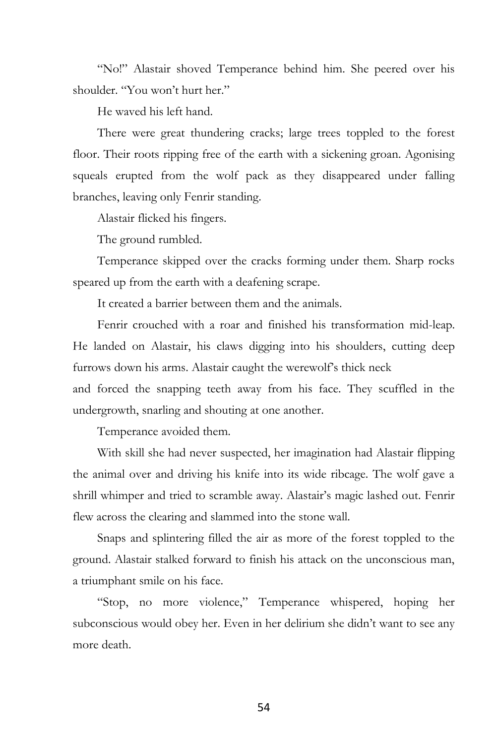"No!" Alastair shoved Temperance behind him. She peered over his shoulder. "You won't hurt her."

He waved his left hand.

There were great thundering cracks; large trees toppled to the forest floor. Their roots ripping free of the earth with a sickening groan. Agonising squeals erupted from the wolf pack as they disappeared under falling branches, leaving only Fenrir standing.

Alastair flicked his fingers.

The ground rumbled.

Temperance skipped over the cracks forming under them. Sharp rocks speared up from the earth with a deafening scrape.

It created a barrier between them and the animals.

Fenrir crouched with a roar and finished his transformation mid-leap. He landed on Alastair, his claws digging into his shoulders, cutting deep furrows down his arms. Alastair caught the werewolf's thick neck

and forced the snapping teeth away from his face. They scuffled in the undergrowth, snarling and shouting at one another.

Temperance avoided them.

With skill she had never suspected, her imagination had Alastair flipping the animal over and driving his knife into its wide ribcage. The wolf gave a shrill whimper and tried to scramble away. Alastair's magic lashed out. Fenrir flew across the clearing and slammed into the stone wall.

Snaps and splintering filled the air as more of the forest toppled to the ground. Alastair stalked forward to finish his attack on the unconscious man, a triumphant smile on his face.

"Stop, no more violence," Temperance whispered, hoping her subconscious would obey her. Even in her delirium she didn't want to see any more death.

54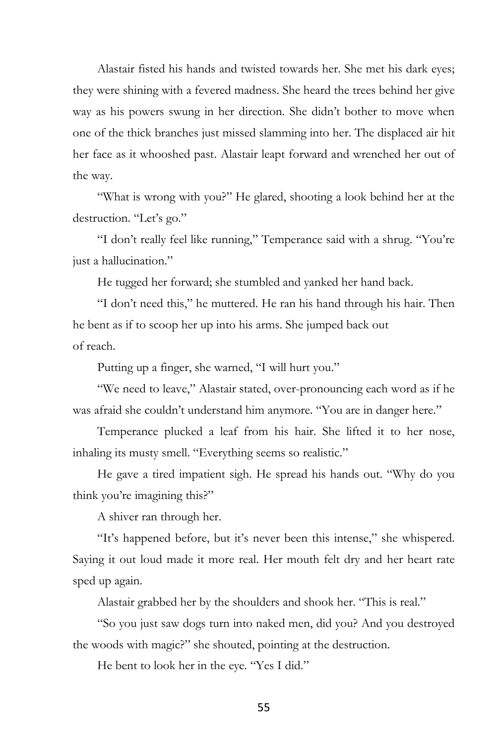Alastair fisted his hands and twisted towards her. She met his dark eyes; they were shining with a fevered madness. She heard the trees behind her give way as his powers swung in her direction. She didn't bother to move when one of the thick branches just missed slamming into her. The displaced air hit her face as it whooshed past. Alastair leapt forward and wrenched her out of the way.

"What is wrong with you?" He glared, shooting a look behind her at the destruction. "Let's go."

"I don't really feel like running," Temperance said with a shrug. "You're just a hallucination."

He tugged her forward; she stumbled and yanked her hand back.

"I don't need this," he muttered. He ran his hand through his hair. Then he bent as if to scoop her up into his arms. She jumped back out of reach.

Putting up a finger, she warned, "I will hurt you."

"We need to leave," Alastair stated, over-pronouncing each word as if he was afraid she couldn't understand him anymore. "You are in danger here."

Temperance plucked a leaf from his hair. She lifted it to her nose, inhaling its musty smell. "Everything seems so realistic."

He gave a tired impatient sigh. He spread his hands out. "Why do you think you're imagining this?"

A shiver ran through her.

"It's happened before, but it's never been this intense," she whispered. Saying it out loud made it more real. Her mouth felt dry and her heart rate sped up again.

Alastair grabbed her by the shoulders and shook her. "This is real."

"So you just saw dogs turn into naked men, did you? And you destroyed the woods with magic?" she shouted, pointing at the destruction.

He bent to look her in the eye. "Yes I did."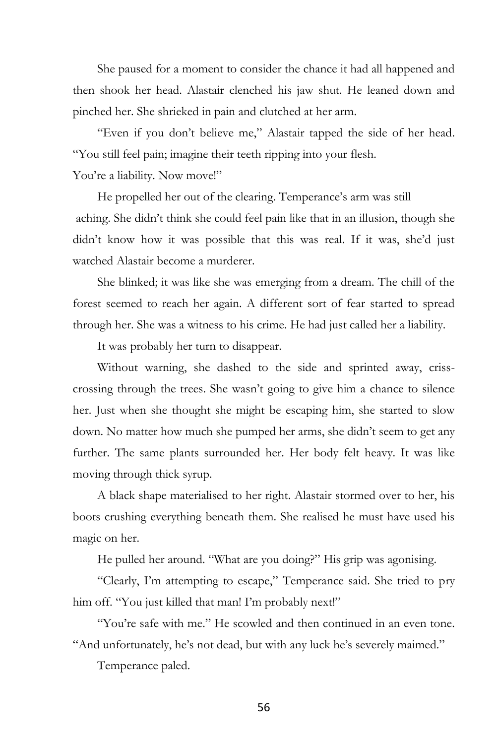She paused for a moment to consider the chance it had all happened and then shook her head. Alastair clenched his jaw shut. He leaned down and pinched her. She shrieked in pain and clutched at her arm.

"Even if you don't believe me," Alastair tapped the side of her head. "You still feel pain; imagine their teeth ripping into your flesh. You're a liability. Now move!"

He propelled her out of the clearing. Temperance's arm was still aching. She didn't think she could feel pain like that in an illusion, though she didn't know how it was possible that this was real. If it was, she'd just watched Alastair become a murderer.

She blinked; it was like she was emerging from a dream. The chill of the forest seemed to reach her again. A different sort of fear started to spread through her. She was a witness to his crime. He had just called her a liability.

It was probably her turn to disappear.

Without warning, she dashed to the side and sprinted away, crisscrossing through the trees. She wasn't going to give him a chance to silence her. Just when she thought she might be escaping him, she started to slow down. No matter how much she pumped her arms, she didn't seem to get any further. The same plants surrounded her. Her body felt heavy. It was like moving through thick syrup.

A black shape materialised to her right. Alastair stormed over to her, his boots crushing everything beneath them. She realised he must have used his magic on her.

He pulled her around. "What are you doing?" His grip was agonising.

"Clearly, I'm attempting to escape," Temperance said. She tried to pry him off. "You just killed that man! I'm probably next!"

"You're safe with me." He scowled and then continued in an even tone. "And unfortunately, he's not dead, but with any luck he's severely maimed."

Temperance paled.